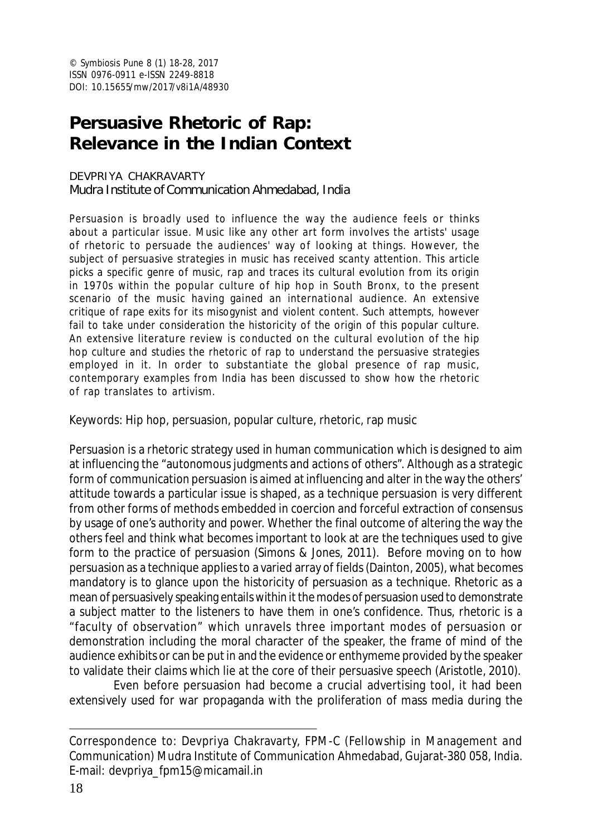# **Persuasive Rhetoric of Rap: Relevance in the Indian Context**

#### DEVPRIYA CHAKRAVARTY

Mudra Institute of Communication Ahmedabad, India

Persuasion is broadly used to influence the way the audience feels or thinks about a particular issue. Music like any other art form involves the artists' usage of rhetoric to persuade the audiences' way of looking at things. However, the subject of persuasive strategies in music has received scanty attention. This article picks a specific genre of music, rap and traces its cultural evolution from its origin in 1970s within the popular culture of hip hop in South Bronx, to the present scenario of the music having gained an international audience. An extensive critique of rape exits for its misogynist and violent content. Such attempts, however fail to take under consideration the historicity of the origin of this popular culture. An extensive literature review is conducted on the cultural evolution of the hip hop culture and studies the rhetoric of rap to understand the persuasive strategies employed in it. In order to substantiate the global presence of rap music, contemporary examples from India has been discussed to show how the rhetoric of rap translates to artivism.

Keywords: Hip hop, persuasion, popular culture, rhetoric, rap music

Persuasion is a rhetoric strategy used in human communication which is designed to aim at influencing the "autonomous judgments and actions of others". Although as a strategic form of communication persuasion is aimed at influencing and alter in the way the others' attitude towards a particular issue is shaped, as a technique persuasion is very different from other forms of methods embedded in coercion and forceful extraction of consensus by usage of one's authority and power. Whether the final outcome of altering the way the others feel and think what becomes important to look at are the techniques used to give form to the practice of persuasion (Simons & Jones, 2011). Before moving on to how persuasion as a technique applies to a varied array of fields (Dainton, 2005), what becomes mandatory is to glance upon the historicity of persuasion as a technique. Rhetoric as a mean of persuasively speaking entails within it the modes of persuasion used to demonstrate a subject matter to the listeners to have them in one's confidence. Thus, rhetoric is a "faculty of observation" which unravels three important modes of persuasion or demonstration including the moral character of the speaker, the frame of mind of the audience exhibits or can be put in and the evidence or enthymeme provided by the speaker to validate their claims which lie at the core of their persuasive speech (Aristotle, 2010).

Even before persuasion had become a crucial advertising tool, it had been extensively used for war propaganda with the proliferation of mass media during the

Correspondence to: Devpriya Chakravarty, FPM-C (Fellowship in Management and Communication) Mudra Institute of Communication Ahmedabad, Gujarat-380 058, India. E-mail: devpriya\_fpm15@micamail.in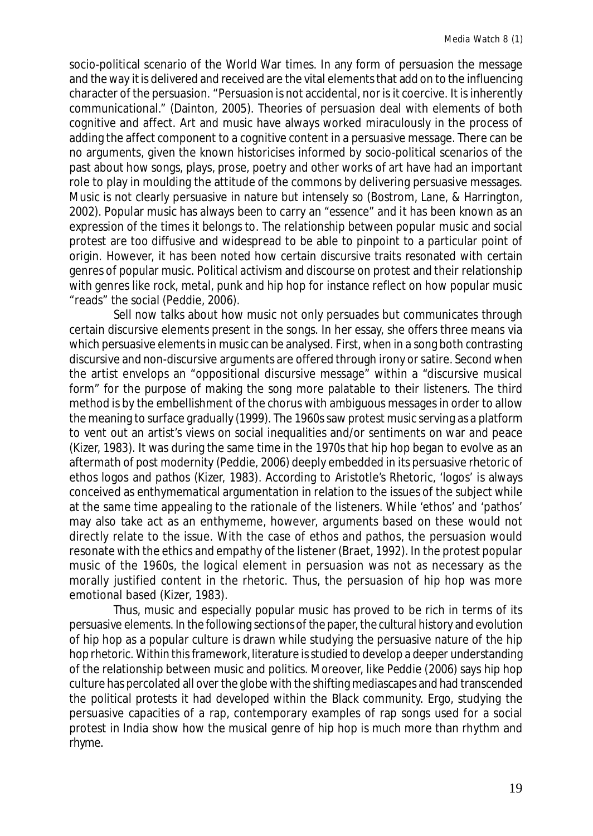socio-political scenario of the World War times. In any form of persuasion the message and the way it is delivered and received are the vital elements that add on to the influencing character of the persuasion. "Persuasion is not accidental, nor is it coercive. It is inherently communicational." (Dainton, 2005). Theories of persuasion deal with elements of both cognitive and affect. Art and music have always worked miraculously in the process of adding the affect component to a cognitive content in a persuasive message. There can be no arguments, given the known historicises informed by socio-political scenarios of the past about how songs, plays, prose, poetry and other works of art have had an important role to play in moulding the attitude of the commons by delivering persuasive messages. Music is not clearly persuasive in nature but intensely so (Bostrom, Lane, & Harrington, 2002). Popular music has always been to carry an "essence" and it has been known as an expression of the times it belongs to. The relationship between popular music and social protest are too diffusive and widespread to be able to pinpoint to a particular point of origin. However, it has been noted how certain discursive traits resonated with certain genres of popular music. Political activism and discourse on protest and their relationship with genres like rock, metal, punk and hip hop for instance reflect on how popular music "reads" the social (Peddie, 2006).

Sell now talks about how music not only persuades but communicates through certain discursive elements present in the songs. In her essay, she offers three means via which persuasive elements in music can be analysed. First, when in a song both contrasting discursive and non-discursive arguments are offered through irony or satire. Second when the artist envelops an "oppositional discursive message" within a "discursive musical form" for the purpose of making the song more palatable to their listeners. The third method is by the embellishment of the chorus with ambiguous messages in order to allow the meaning to surface gradually (1999). The 1960s saw protest music serving as a platform to vent out an artist's views on social inequalities and/or sentiments on war and peace (Kizer, 1983). It was during the same time in the 1970s that hip hop began to evolve as an aftermath of post modernity (Peddie, 2006) deeply embedded in its persuasive rhetoric of ethos logos and pathos (Kizer, 1983). According to Aristotle's Rhetoric, 'logos' is always conceived as enthymematical argumentation in relation to the issues of the subject while at the same time appealing to the rationale of the listeners. While 'ethos' and 'pathos' may also take act as an enthymeme, however, arguments based on these would not directly relate to the issue. With the case of ethos and pathos, the persuasion would resonate with the ethics and empathy of the listener (Braet, 1992). In the protest popular music of the 1960s, the logical element in persuasion was not as necessary as the morally justified content in the rhetoric. Thus, the persuasion of hip hop was more emotional based (Kizer, 1983).

Thus, music and especially popular music has proved to be rich in terms of its persuasive elements. In the following sections of the paper, the cultural history and evolution of hip hop as a popular culture is drawn while studying the persuasive nature of the hip hop rhetoric. Within this framework, literature is studied to develop a deeper understanding of the relationship between music and politics. Moreover, like Peddie (2006) says hip hop culture has percolated all over the globe with the shifting mediascapes and had transcended the political protests it had developed within the Black community. Ergo, studying the persuasive capacities of a rap, contemporary examples of rap songs used for a social protest in India show how the musical genre of hip hop is much more than rhythm and rhyme.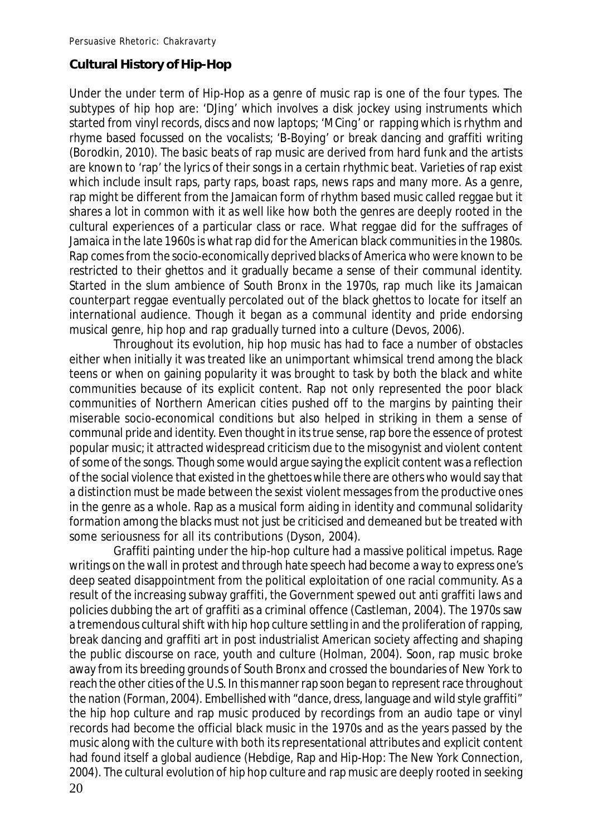# **Cultural History of Hip-Hop**

Under the under term of Hip-Hop as a genre of music rap is one of the four types. The subtypes of hip hop are: 'DJing' which involves a disk jockey using instruments which started from vinyl records, discs and now laptops; 'MCing' or rapping which is rhythm and rhyme based focussed on the vocalists; 'B-Boying' or break dancing and graffiti writing (Borodkin, 2010). The basic beats of rap music are derived from hard funk and the artists are known to 'rap' the lyrics of their songs in a certain rhythmic beat. Varieties of rap exist which include insult raps, party raps, boast raps, news raps and many more. As a genre, rap might be different from the Jamaican form of rhythm based music called reggae but it shares a lot in common with it as well like how both the genres are deeply rooted in the cultural experiences of a particular class or race. What reggae did for the suffrages of Jamaica in the late 1960s is what rap did for the American black communities in the 1980s. Rap comes from the socio-economically deprived blacks of America who were known to be restricted to their ghettos and it gradually became a sense of their communal identity. Started in the slum ambience of South Bronx in the 1970s, rap much like its Jamaican counterpart reggae eventually percolated out of the black ghettos to locate for itself an international audience. Though it began as a communal identity and pride endorsing musical genre, hip hop and rap gradually turned into a culture (Devos, 2006).

Throughout its evolution, hip hop music has had to face a number of obstacles either when initially it was treated like an unimportant whimsical trend among the black teens or when on gaining popularity it was brought to task by both the black and white communities because of its explicit content. Rap not only represented the poor black communities of Northern American cities pushed off to the margins by painting their miserable socio-economical conditions but also helped in striking in them a sense of communal pride and identity. Even thought in its true sense, rap bore the essence of protest popular music; it attracted widespread criticism due to the misogynist and violent content of some of the songs. Though some would argue saying the explicit content was a reflection of the social violence that existed in the ghettoes while there are others who would say that a distinction must be made between the sexist violent messages from the productive ones in the genre as a whole. Rap as a musical form aiding in identity and communal solidarity formation among the blacks must not just be criticised and demeaned but be treated with some seriousness for all its contributions (Dyson, 2004).

20 Graffiti painting under the hip-hop culture had a massive political impetus. Rage writings on the wall in protest and through hate speech had become a way to express one's deep seated disappointment from the political exploitation of one racial community. As a result of the increasing subway graffiti, the Government spewed out anti graffiti laws and policies dubbing the art of graffiti as a criminal offence (Castleman, 2004). The 1970s saw a tremendous cultural shift with hip hop culture settling in and the proliferation of rapping, break dancing and graffiti art in post industrialist American society affecting and shaping the public discourse on race, youth and culture (Holman, 2004). Soon, rap music broke away from its breeding grounds of South Bronx and crossed the boundaries of New York to reach the other cities of the U.S. In this manner rap soon began to represent race throughout the nation (Forman, 2004). Embellished with "dance, dress, language and wild style graffiti" the hip hop culture and rap music produced by recordings from an audio tape or vinyl records had become the official black music in the 1970s and as the years passed by the music along with the culture with both its representational attributes and explicit content had found itself a global audience (Hebdige, Rap and Hip-Hop: The New York Connection, 2004). The cultural evolution of hip hop culture and rap music are deeply rooted in seeking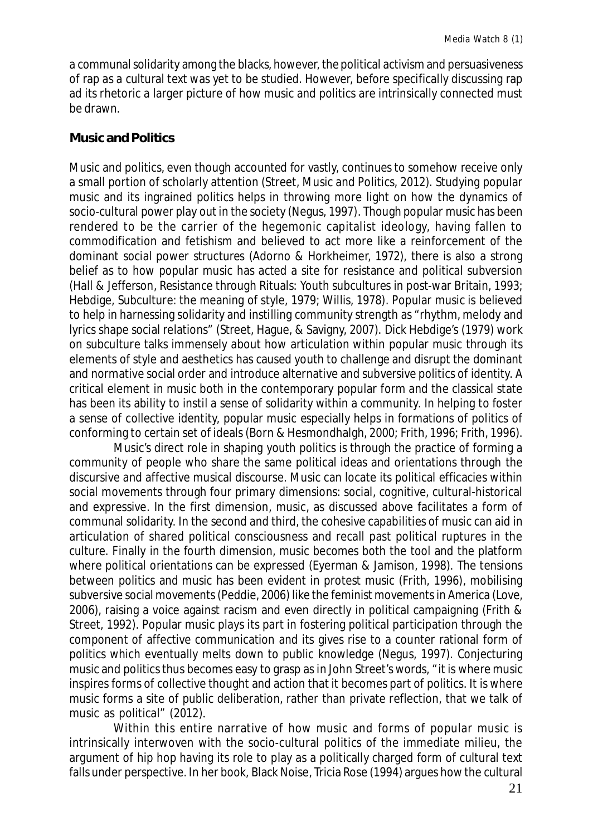a communal solidarity among the blacks, however, the political activism and persuasiveness of rap as a cultural text was yet to be studied. However, before specifically discussing rap ad its rhetoric a larger picture of how music and politics are intrinsically connected must be drawn.

### **Music and Politics**

Music and politics, even though accounted for vastly, continues to somehow receive only a small portion of scholarly attention (Street, Music and Politics, 2012). Studying popular music and its ingrained politics helps in throwing more light on how the dynamics of socio-cultural power play out in the society (Negus, 1997). Though popular music has been rendered to be the carrier of the hegemonic capitalist ideology, having fallen to commodification and fetishism and believed to act more like a reinforcement of the dominant social power structures (Adorno & Horkheimer, 1972), there is also a strong belief as to how popular music has acted a site for resistance and political subversion (Hall & Jefferson, Resistance through Rituals: Youth subcultures in post-war Britain, 1993; Hebdige, Subculture: the meaning of style, 1979; Willis, 1978). Popular music is believed to help in harnessing solidarity and instilling community strength as "rhythm, melody and lyrics shape social relations" (Street, Hague, & Savigny, 2007). Dick Hebdige's (1979) work on subculture talks immensely about how articulation within popular music through its elements of style and aesthetics has caused youth to challenge and disrupt the dominant and normative social order and introduce alternative and subversive politics of identity. A critical element in music both in the contemporary popular form and the classical state has been its ability to instil a sense of solidarity within a community. In helping to foster a sense of collective identity, popular music especially helps in formations of politics of conforming to certain set of ideals (Born & Hesmondhalgh, 2000; Frith, 1996; Frith, 1996).

Music's direct role in shaping youth politics is through the practice of forming a community of people who share the same political ideas and orientations through the discursive and affective musical discourse. Music can locate its political efficacies within social movements through four primary dimensions: social, cognitive, cultural-historical and expressive. In the first dimension, music, as discussed above facilitates a form of communal solidarity. In the second and third, the cohesive capabilities of music can aid in articulation of shared political consciousness and recall past political ruptures in the culture. Finally in the fourth dimension, music becomes both the tool and the platform where political orientations can be expressed (Eyerman & Jamison, 1998). The tensions between politics and music has been evident in protest music (Frith, 1996), mobilising subversive social movements (Peddie, 2006) like the feminist movements in America (Love, 2006), raising a voice against racism and even directly in political campaigning (Frith & Street, 1992). Popular music plays its part in fostering political participation through the component of affective communication and its gives rise to a counter rational form of politics which eventually melts down to public knowledge (Negus, 1997). Conjecturing music and politics thus becomes easy to grasp as in John Street's words, "it is where music inspires forms of collective thought and action that it becomes part of politics. It is where music forms a site of public deliberation, rather than private reflection, that we talk of music as political" (2012).

Within this entire narrative of how music and forms of popular music is intrinsically interwoven with the socio-cultural politics of the immediate milieu, the argument of hip hop having its role to play as a politically charged form of cultural text falls under perspective. In her book, Black Noise, Tricia Rose (1994) argues how the cultural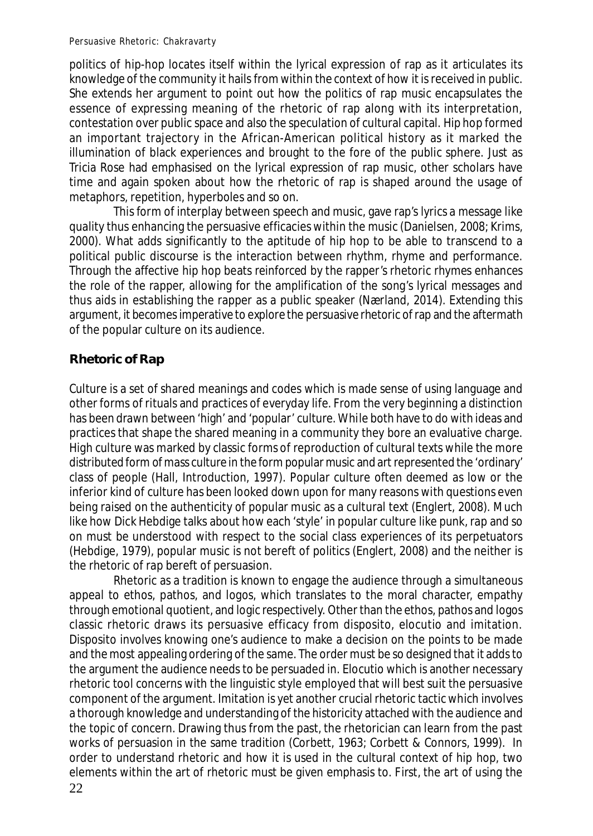politics of hip-hop locates itself within the lyrical expression of rap as it articulates its knowledge of the community it hails from within the context of how it is received in public. She extends her argument to point out how the politics of rap music encapsulates the essence of expressing meaning of the rhetoric of rap along with its interpretation, contestation over public space and also the speculation of cultural capital. Hip hop formed an important trajectory in the African-American political history as it marked the illumination of black experiences and brought to the fore of the public sphere. Just as Tricia Rose had emphasised on the lyrical expression of rap music, other scholars have time and again spoken about how the rhetoric of rap is shaped around the usage of metaphors, repetition, hyperboles and so on.

This form of interplay between speech and music, gave rap's lyrics a message like quality thus enhancing the persuasive efficacies within the music (Danielsen, 2008; Krims, 2000). What adds significantly to the aptitude of hip hop to be able to transcend to a political public discourse is the interaction between rhythm, rhyme and performance. Through the affective hip hop beats reinforced by the rapper's rhetoric rhymes enhances the role of the rapper, allowing for the amplification of the song's lyrical messages and thus aids in establishing the rapper as a public speaker (Nærland, 2014). Extending this argument, it becomes imperative to explore the persuasive rhetoric of rap and the aftermath of the popular culture on its audience.

# **Rhetoric of Rap**

Culture is a set of shared meanings and codes which is made sense of using language and other forms of rituals and practices of everyday life. From the very beginning a distinction has been drawn between 'high' and 'popular' culture. While both have to do with ideas and practices that shape the shared meaning in a community they bore an evaluative charge. High culture was marked by classic forms of reproduction of cultural texts while the more distributed form of mass culture in the form popular music and art represented the 'ordinary' class of people (Hall, Introduction, 1997). Popular culture often deemed as low or the inferior kind of culture has been looked down upon for many reasons with questions even being raised on the authenticity of popular music as a cultural text (Englert, 2008). Much like how Dick Hebdige talks about how each 'style' in popular culture like punk, rap and so on must be understood with respect to the social class experiences of its perpetuators (Hebdige, 1979), popular music is not bereft of politics (Englert, 2008) and the neither is the rhetoric of rap bereft of persuasion.

22 Rhetoric as a tradition is known to engage the audience through a simultaneous appeal to ethos, pathos, and logos, which translates to the moral character, empathy through emotional quotient, and logic respectively. Other than the ethos, pathos and logos classic rhetoric draws its persuasive efficacy from disposito, elocutio and imitation. Disposito involves knowing one's audience to make a decision on the points to be made and the most appealing ordering of the same. The order must be so designed that it adds to the argument the audience needs to be persuaded in. Elocutio which is another necessary rhetoric tool concerns with the linguistic style employed that will best suit the persuasive component of the argument. Imitation is yet another crucial rhetoric tactic which involves a thorough knowledge and understanding of the historicity attached with the audience and the topic of concern. Drawing thus from the past, the rhetorician can learn from the past works of persuasion in the same tradition (Corbett, 1963; Corbett & Connors, 1999). In order to understand rhetoric and how it is used in the cultural context of hip hop, two elements within the art of rhetoric must be given emphasis to. First, the art of using the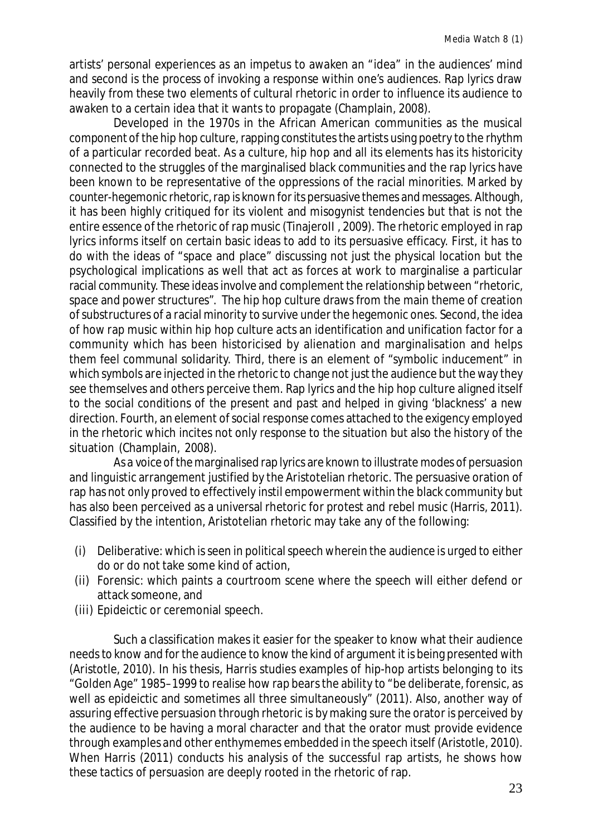artists' personal experiences as an impetus to awaken an "idea" in the audiences' mind and second is the process of invoking a response within one's audiences. Rap lyrics draw heavily from these two elements of cultural rhetoric in order to influence its audience to awaken to a certain idea that it wants to propagate (Champlain, 2008).

Developed in the 1970s in the African American communities as the musical component of the hip hop culture, rapping constitutes the artists using poetry to the rhythm of a particular recorded beat. As a culture, hip hop and all its elements has its historicity connected to the struggles of the marginalised black communities and the rap lyrics have been known to be representative of the oppressions of the racial minorities. Marked by counter-hegemonic rhetoric, rap is known for its persuasive themes and messages. Although, it has been highly critiqued for its violent and misogynist tendencies but that is not the entire essence of the rhetoric of rap music (Tinajeroll, 2009). The rhetoric employed in rap lyrics informs itself on certain basic ideas to add to its persuasive efficacy. First, it has to do with the ideas of "space and place" discussing not just the physical location but the psychological implications as well that act as forces at work to marginalise a particular racial community. These ideas involve and complement the relationship between "rhetoric, space and power structures". The hip hop culture draws from the main theme of creation of substructures of a racial minority to survive under the hegemonic ones. Second, the idea of how rap music within hip hop culture acts an identification and unification factor for a community which has been historicised by alienation and marginalisation and helps them feel communal solidarity. Third, there is an element of "symbolic inducement" in which symbols are injected in the rhetoric to change not just the audience but the way they see themselves and others perceive them. Rap lyrics and the hip hop culture aligned itself to the social conditions of the present and past and helped in giving 'blackness' a new direction. Fourth, an element of social response comes attached to the exigency employed in the rhetoric which incites not only response to the situation but also the history of the situation (Champlain, 2008).

As a voice of the marginalised rap lyrics are known to illustrate modes of persuasion and linguistic arrangement justified by the Aristotelian rhetoric. The persuasive oration of rap has not only proved to effectively instil empowerment within the black community but has also been perceived as a universal rhetoric for protest and rebel music (Harris, 2011). Classified by the intention, Aristotelian rhetoric may take any of the following:

- (i) Deliberative: which is seen in political speech wherein the audience is urged to either do or do not take some kind of action,
- (ii) Forensic: which paints a courtroom scene where the speech will either defend or attack someone, and
- (iii) Epideictic or ceremonial speech.

Such a classification makes it easier for the speaker to know what their audience needs to know and for the audience to know the kind of argument it is being presented with (Aristotle, 2010). In his thesis, Harris studies examples of hip-hop artists belonging to its "Golden Age" 1985–1999 to realise how rap bears the ability to "be deliberate, forensic, as well as epideictic and sometimes all three simultaneously" (2011). Also, another way of assuring effective persuasion through rhetoric is by making sure the orator is perceived by the audience to be having a moral character and that the orator must provide evidence through examples and other enthymemes embedded in the speech itself (Aristotle, 2010). When Harris (2011) conducts his analysis of the successful rap artists, he shows how these tactics of persuasion are deeply rooted in the rhetoric of rap.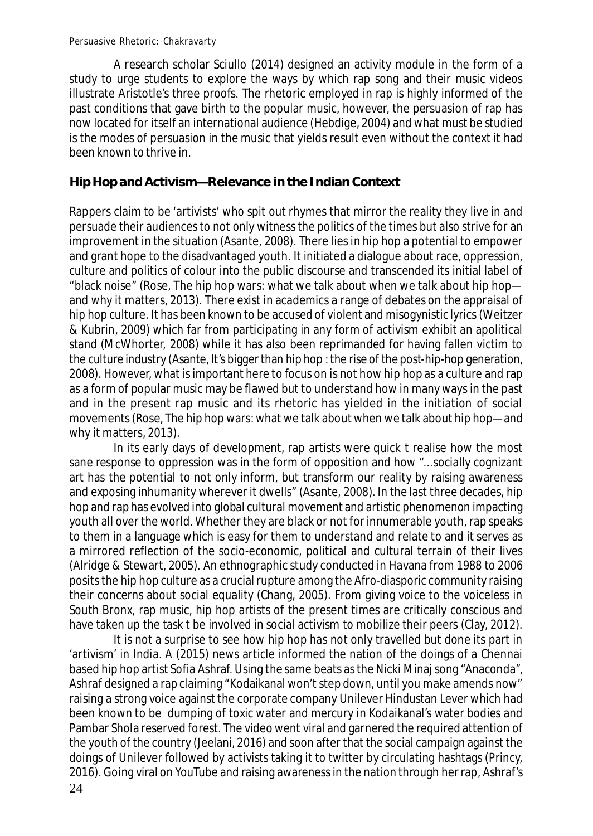A research scholar Sciullo (2014) designed an activity module in the form of a study to urge students to explore the ways by which rap song and their music videos illustrate Aristotle's three proofs. The rhetoric employed in rap is highly informed of the past conditions that gave birth to the popular music, however, the persuasion of rap has now located for itself an international audience (Hebdige, 2004) and what must be studied is the modes of persuasion in the music that yields result even without the context it had been known to thrive in.

# **Hip Hop and Activism—Relevance in the Indian Context**

Rappers claim to be 'artivists' who spit out rhymes that mirror the reality they live in and persuade their audiences to not only witness the politics of the times but also strive for an improvement in the situation (Asante, 2008). There lies in hip hop a potential to empower and grant hope to the disadvantaged youth. It initiated a dialogue about race, oppression, culture and politics of colour into the public discourse and transcended its initial label of "black noise" (Rose, The hip hop wars: what we talk about when we talk about hip hop and why it matters, 2013). There exist in academics a range of debates on the appraisal of hip hop culture. It has been known to be accused of violent and misogynistic lyrics (Weitzer & Kubrin, 2009) which far from participating in any form of activism exhibit an apolitical stand (McWhorter, 2008) while it has also been reprimanded for having fallen victim to the culture industry (Asante, It's bigger than hip hop : the rise of the post-hip-hop generation, 2008). However, what is important here to focus on is not how hip hop as a culture and rap as a form of popular music may be flawed but to understand how in many ways in the past and in the present rap music and its rhetoric has yielded in the initiation of social movements (Rose, The hip hop wars: what we talk about when we talk about hip hop—and why it matters, 2013).

In its early days of development, rap artists were quick t realise how the most sane response to oppression was in the form of opposition and how "...socially cognizant art has the potential to not only inform, but transform our reality by raising awareness and exposing inhumanity wherever it dwells" (Asante, 2008). In the last three decades, hip hop and rap has evolved into global cultural movement and artistic phenomenon impacting youth all over the world. Whether they are black or not for innumerable youth, rap speaks to them in a language which is easy for them to understand and relate to and it serves as a mirrored reflection of the socio-economic, political and cultural terrain of their lives (Alridge & Stewart, 2005). An ethnographic study conducted in Havana from 1988 to 2006 posits the hip hop culture as a crucial rupture among the Afro-diasporic community raising their concerns about social equality (Chang, 2005). From giving voice to the voiceless in South Bronx, rap music, hip hop artists of the present times are critically conscious and have taken up the task t be involved in social activism to mobilize their peers (Clay, 2012).

24 It is not a surprise to see how hip hop has not only travelled but done its part in 'artivism' in India. A (2015) news article informed the nation of the doings of a Chennai based hip hop artist Sofia Ashraf. Using the same beats as the Nicki Minaj song "Anaconda", Ashraf designed a rap claiming "Kodaikanal won't step down, until you make amends now" raising a strong voice against the corporate company Unilever Hindustan Lever which had been known to be dumping of toxic water and mercury in Kodaikanal's water bodies and Pambar Shola reserved forest. The video went viral and garnered the required attention of the youth of the country (Jeelani, 2016) and soon after that the social campaign against the doings of Unilever followed by activists taking it to twitter by circulating hashtags (Princy, 2016). Going viral on YouTube and raising awareness in the nation through her rap, Ashraf's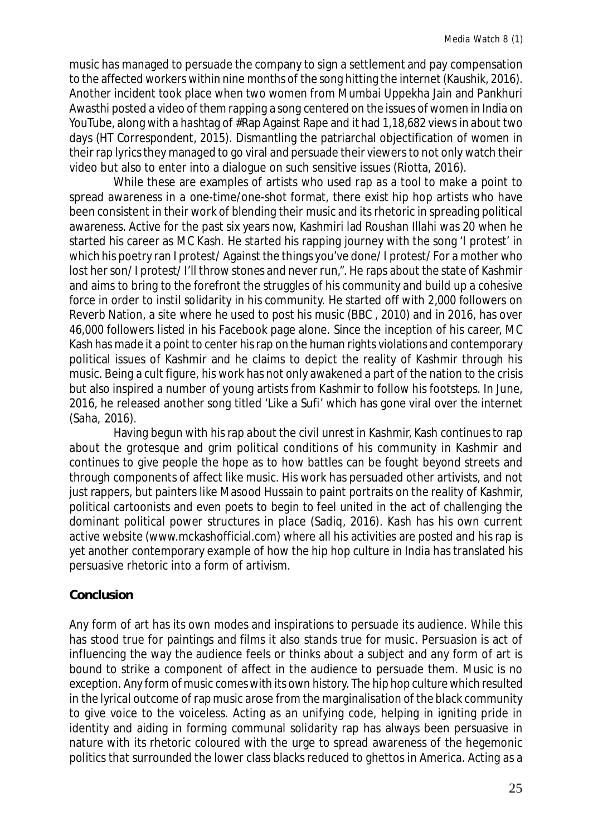music has managed to persuade the company to sign a settlement and pay compensation to the affected workers within nine months of the song hitting the internet (Kaushik, 2016). Another incident took place when two women from Mumbai Uppekha Jain and Pankhuri Awasthi posted a video of them rapping a song centered on the issues of women in India on YouTube, along with a hashtag of #Rap Against Rape and it had 1,18,682 views in about two days (HT Correspondent, 2015). Dismantling the patriarchal objectification of women in their rap lyrics they managed to go viral and persuade their viewers to not only watch their video but also to enter into a dialogue on such sensitive issues (Riotta, 2016).

While these are examples of artists who used rap as a tool to make a point to spread awareness in a one-time/one-shot format, there exist hip hop artists who have been consistent in their work of blending their music and its rhetoric in spreading political awareness. Active for the past six years now, Kashmiri lad Roushan Illahi was 20 when he started his career as MC Kash. He started his rapping journey with the song 'I protest' in which his poetry ran I protest/ Against the things you've done/ I protest/ For a mother who lost her son/I protest/ I'll throw stones and never run,". He raps about the state of Kashmir and aims to bring to the forefront the struggles of his community and build up a cohesive force in order to instil solidarity in his community. He started off with 2,000 followers on Reverb Nation, a site where he used to post his music (BBC , 2010) and in 2016, has over 46,000 followers listed in his Facebook page alone. Since the inception of his career, MC Kash has made it a point to center his rap on the human rights violations and contemporary political issues of Kashmir and he claims to depict the reality of Kashmir through his music. Being a cult figure, his work has not only awakened a part of the nation to the crisis but also inspired a number of young artists from Kashmir to follow his footsteps. In June, 2016, he released another song titled 'Like a Sufi' which has gone viral over the internet (Saha, 2016).

Having begun with his rap about the civil unrest in Kashmir, Kash continues to rap about the grotesque and grim political conditions of his community in Kashmir and continues to give people the hope as to how battles can be fought beyond streets and through components of affect like music. His work has persuaded other artivists, and not just rappers, but painters like Masood Hussain to paint portraits on the reality of Kashmir, political cartoonists and even poets to begin to feel united in the act of challenging the dominant political power structures in place (Sadiq, 2016). Kash has his own current active website (www.mckashofficial.com) where all his activities are posted and his rap is yet another contemporary example of how the hip hop culture in India has translated his persuasive rhetoric into a form of artivism.

# **Conclusion**

Any form of art has its own modes and inspirations to persuade its audience. While this has stood true for paintings and films it also stands true for music. Persuasion is act of influencing the way the audience feels or thinks about a subject and any form of art is bound to strike a component of affect in the audience to persuade them. Music is no exception. Any form of music comes with its own history. The hip hop culture which resulted in the lyrical outcome of rap music arose from the marginalisation of the black community to give voice to the voiceless. Acting as an unifying code, helping in igniting pride in identity and aiding in forming communal solidarity rap has always been persuasive in nature with its rhetoric coloured with the urge to spread awareness of the hegemonic politics that surrounded the lower class blacks reduced to ghettos in America. Acting as a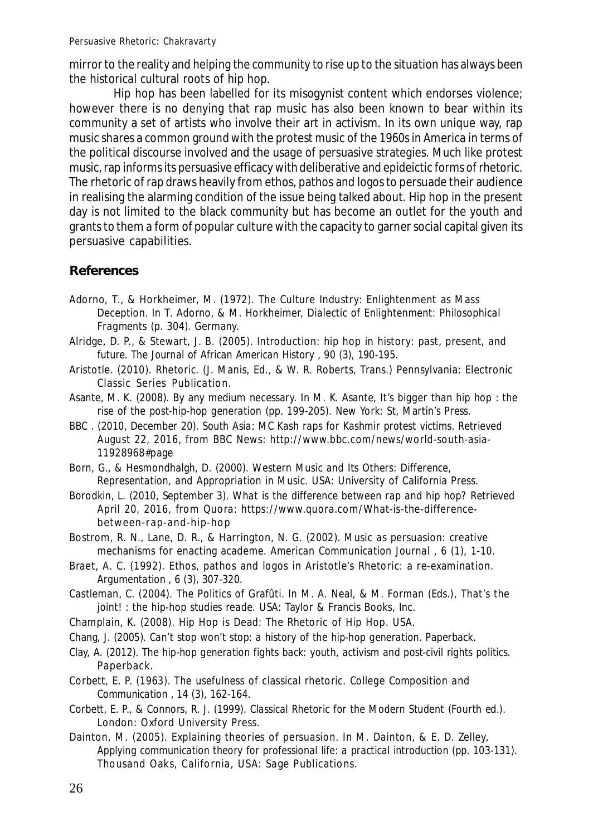mirror to the reality and helping the community to rise up to the situation has always been the historical cultural roots of hip hop.

Hip hop has been labelled for its misogynist content which endorses violence; however there is no denying that rap music has also been known to bear within its community a set of artists who involve their art in activism. In its own unique way, rap music shares a common ground with the protest music of the 1960s in America in terms of the political discourse involved and the usage of persuasive strategies. Much like protest music, rap informs its persuasive efficacy with deliberative and epideictic forms of rhetoric. The rhetoric of rap draws heavily from ethos, pathos and logos to persuade their audience in realising the alarming condition of the issue being talked about. Hip hop in the present day is not limited to the black community but has become an outlet for the youth and grants to them a form of popular culture with the capacity to garner social capital given its persuasive capabilities.

## **References**

- Adorno, T., & Horkheimer, M. (1972). The Culture Industry: Enlightenment as Mass Deception. In T. Adorno, & M. Horkheimer, *Dialectic of Enlightenment: Philosophical Fragments* (p. 304). Germany.
- Alridge, D. P., & Stewart, J. B. (2005). Introduction: hip hop in history: past, present, and future. *The Journal of African American History , 90* (3), 190-195.
- Aristotle. (2010). *Rhetoric.* (J. Manis, Ed., & W. R. Roberts, Trans.) Pennsylvania: Electronic Classic Series Publication.
- Asante, M. K. (2008). By any medium necessary. In M. K. Asante, *It's bigger than hip hop : the rise of the post-hip-hop generation* (pp. 199-205). New York: St, Martin's Press.
- BBC . (2010, December 20). *South Asia: MC Kash raps for Kashmir protest victims*. Retrieved August 22, 2016, from BBC News: http://www.bbc.com/news/world-south-asia-11928968#page
- Born, G., & Hesmondhalgh, D. (2000). *Western Music and Its Others: Difference, Representation, and Appropriation in Music.* USA: University of California Press.
- Borodkin, L. (2010, September 3). *What is the difference between rap and hip hop?* Retrieved April 20, 2016, from Quora: https://www.quora.com/What-is-the-differencebetween-rap-and-hip-hop
- Bostrom, R. N., Lane, D. R., & Harrington, N. G. (2002). Music as persuasion: creative mechanisms for enacting academe. *American Communication Journal , 6* (1), 1-10.
- Braet, A. C. (1992). Ethos, pathos and logos in Aristotle's Rhetoric: a re-examination. *Argumentation , 6* (3), 307-320.
- Castleman, C. (2004). The Politics of Grafûti. In M. A. Neal, & M. Forman (Eds.), *That's the joint! : the hip-hop studies reade.* USA: Taylor & Francis Books, Inc.
- Champlain, K. (2008). Hip Hop is Dead: The Rhetoric of Hip Hop. USA.
- Chang, J. (2005). *Can't stop won't stop: a history of the hip-hop generation.* Paperback.
- Clay, A. (2012). *The hip-hop generation fights back: youth, activism and post-civil rights politics.* Paperback.
- Corbett, E. P. (1963). The usefulness of classical rhetoric. *College Composition and Communication , 14* (3), 162-164.
- Corbett, E. P., & Connors, R. J. (1999). *Classical Rhetoric for the Modern Student* (Fourth ed.). London: Oxford University Press.
- Dainton, M. (2005). Explaining theories of persuasion. In M. Dainton, & E. D. Zelley, *Applying communication theory for professional life: a practical introduction* (pp. 103-131). Thousand Oaks, California, USA: Sage Publications.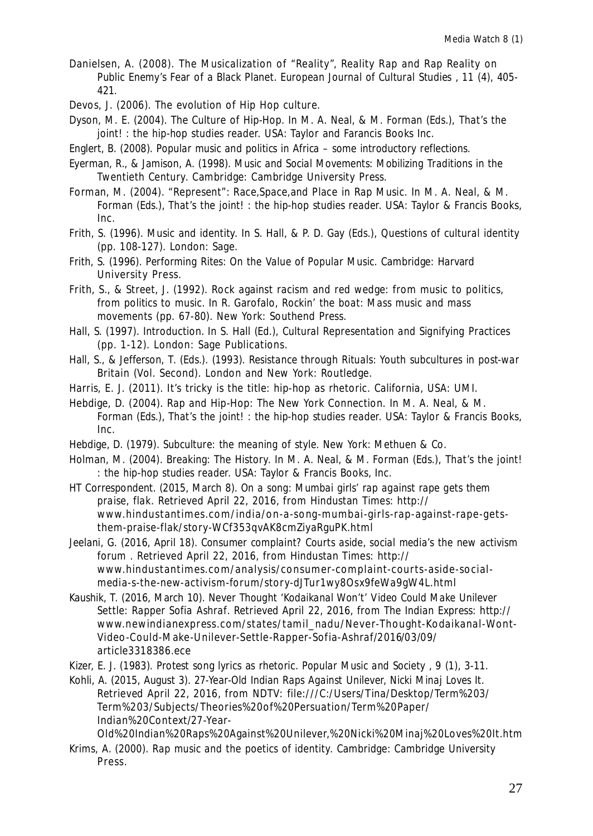- Danielsen, A. (2008). The Musicalization of "Reality", Reality Rap and Rap Reality on Public Enemy's Fear of a Black Planet. *European Journal of Cultural Studies , 11* (4), 405- 421.
- Devos, J. (2006). The evolution of Hip Hop culture.
- Dyson, M. E. (2004). The Culture of Hip-Hop. In M. A. Neal, & M. Forman (Eds.), *That's the joint! : the hip-hop studies reader.* USA: Taylor and Farancis Books Inc.
- Englert, B. (2008). *Popular music and politics in Africa some introductory reflections.*
- Eyerman, R., & Jamison, A. (1998). *Music and Social Movements: Mobilizing Traditions in the Twentieth Century.* Cambridge: Cambridge University Press.
- Forman, M. (2004). "Represent": Race,Space,and Place in Rap Music. In M. A. Neal, & M. Forman (Eds.), *That's the joint! : the hip-hop studies reader.* USA: Taylor & Francis Books, Inc.
- Frith, S. (1996). Music and identity. In S. Hall, & P. D. Gay (Eds.), *Questions of cultural identity* (pp. 108-127). London: Sage.
- Frith, S. (1996). *Performing Rites: On the Value of Popular Music.* Cambridge: Harvard University Press.
- Frith, S., & Street, J. (1992). Rock against racism and red wedge: from music to politics, from politics to music. In R. Garofalo, *Rockin' the boat: Mass music and mass movements* (pp. 67-80). New York: Southend Press.
- Hall, S. (1997). Introduction. In S. Hall (Ed.), *Cultural Representation and Signifying Practices* (pp. 1-12). London: Sage Publications.
- Hall, S., & Jefferson, T. (Eds.). (1993). *Resistance through Rituals: Youth subcultures in post-war Britain* (Vol. Second). London and New York: Routledge.
- Harris, E. J. (2011). It's tricky is the title: hip-hop as rhetoric. California, USA: UMI.
- Hebdige, D. (2004). Rap and Hip-Hop: The New York Connection. In M. A. Neal, & M. Forman (Eds.), *That's the joint! : the hip-hop studies reader.* USA: Taylor & Francis Books, Inc.
- Hebdige, D. (1979). *Subculture: the meaning of style.* New York: Methuen & Co.
- Holman, M. (2004). Breaking: The History. In M. A. Neal, & M. Forman (Eds.), *That's the joint! : the hip-hop studies reader.* USA: Taylor & Francis Books, Inc.
- HT Correspondent. (2015, March 8). *On a song: Mumbai girls' rap against rape gets them praise, flak*. Retrieved April 22, 2016, from Hindustan Times: http:// www.hindustantimes.com/india/on-a-song-mumbai-girls-rap-against-rape-getsthem-praise-flak/story-WCf353qvAK8cmZiyaRguPK.html
- Jeelani, G. (2016, April 18). *Consumer complaint? Courts aside, social media's the new activism forum* . Retrieved April 22, 2016, from Hindustan Times: http:// www.hindustantimes.com/analysis/consumer-complaint-courts-aside-socialmedia-s-the-new-activism-forum/story-dJTur1wy8Osx9feWa9gW4L.html
- Kaushik, T. (2016, March 10). *Never Thought 'Kodaikanal Won't' Video Could Make Unilever Settle: Rapper Sofia Ashraf*. Retrieved April 22, 2016, from The Indian Express: http:// www.newindianexpress.com/states/tamil\_nadu/Never-Thought-Kodaikanal-Wont-Video-Could-Make-Unilever-Settle-Rapper-Sofia-Ashraf/2016/03/09/ article3318386.ece
- Kizer, E. J. (1983). Protest song lyrics as rhetoric. *Popular Music and Society , 9* (1), 3-11.
- Kohli, A. (2015, August 3). *27-Year-Old Indian Raps Against Unilever, Nicki Minaj Loves It*. Retrieved April 22, 2016, from NDTV: file:///C:/Users/Tina/Desktop/Term%203/ Term%203/Subjects/Theories%20of%20Persuation/Term%20Paper/ Indian%20Context/27-Year-

Old%20Indian%20Raps%20Against%20Unilever,%20Nicki%20Minaj%20Loves%20It.htm Krims, A. (2000). *Rap music and the poetics of identity.* Cambridge: Cambridge University Press.